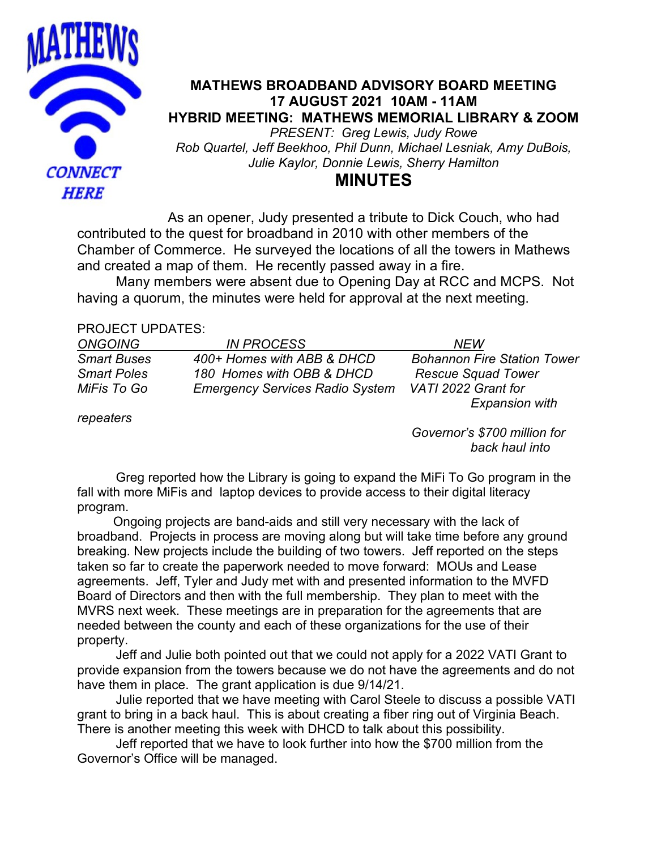

## **MATHEWS BROADBAND ADVISORY BOARD MEETING 17 AUGUST 2021 10AM - 11AM HYBRID MEETING: MATHEWS MEMORIAL LIBRARY & ZOOM** *PRESENT: Greg Lewis, Judy Rowe Rob Quartel, Jeff Beekhoo, Phil Dunn, Michael Lesniak, Amy DuBois, Julie Kaylor, Donnie Lewis, Sherry Hamilton*

# **MINUTES**

As an opener, Judy presented a tribute to Dick Couch, who had contributed to the quest for broadband in 2010 with other members of the Chamber of Commerce. He surveyed the locations of all the towers in Mathews and created a map of them. He recently passed away in a fire.

 Many members were absent due to Opening Day at RCC and MCPS. Not having a quorum, the minutes were held for approval at the next meeting.

### PROJECT UPDATES:

| <b>ONGOING</b>     | <b>IN PROCESS</b>                      | NFW                                |
|--------------------|----------------------------------------|------------------------------------|
| <b>Smart Buses</b> | 400+ Homes with ABB & DHCD             | <b>Bohannon Fire Station Tower</b> |
| <b>Smart Poles</b> | 180 Homes with OBB & DHCD              | <b>Rescue Squad Tower</b>          |
| MiFis To Go        | <b>Emergency Services Radio System</b> | VATI 2022 Grant for                |
|                    |                                        | <b>Expansion with</b>              |

*repeaters*

 *Governor's \$700 million for back haul into*

Greg reported how the Library is going to expand the MiFi To Go program in the fall with more MiFis and laptop devices to provide access to their digital literacy program.

 Ongoing projects are band-aids and still very necessary with the lack of broadband. Projects in process are moving along but will take time before any ground breaking. New projects include the building of two towers. Jeff reported on the steps taken so far to create the paperwork needed to move forward: MOUs and Lease agreements. Jeff, Tyler and Judy met with and presented information to the MVFD Board of Directors and then with the full membership. They plan to meet with the MVRS next week. These meetings are in preparation for the agreements that are needed between the county and each of these organizations for the use of their property.

Jeff and Julie both pointed out that we could not apply for a 2022 VATI Grant to provide expansion from the towers because we do not have the agreements and do not have them in place. The grant application is due 9/14/21.

Julie reported that we have meeting with Carol Steele to discuss a possible VATI grant to bring in a back haul. This is about creating a fiber ring out of Virginia Beach. There is another meeting this week with DHCD to talk about this possibility.

Jeff reported that we have to look further into how the \$700 million from the Governor's Office will be managed.